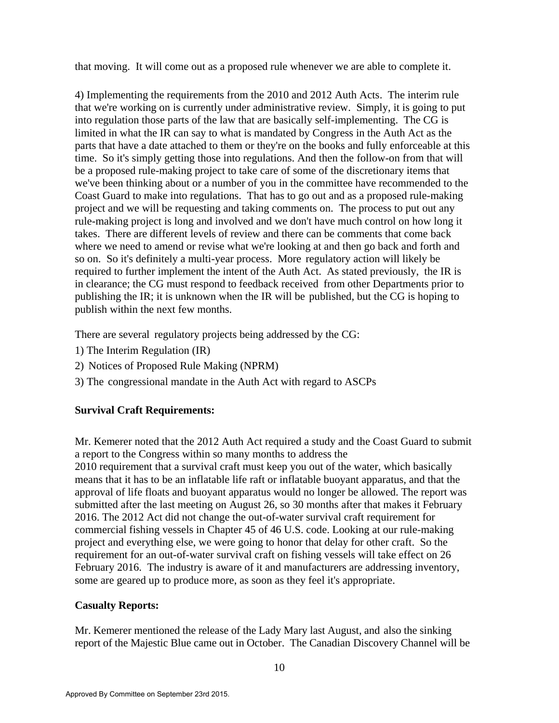that moving. It will come out as a proposed rule whenever we are able to complete it.

4) Implementing the requirements from the 2010 and 2012 Auth Acts. The interim rule that we're working on is currently under administrative review. Simply, it is going to put into regulation those parts of the law that are basically self-implementing. The CG is limited in what the IR can say to what is mandated by Congress in the Auth Act as the parts that have a date attached to them or they're on the books and fully enforceable at this time. So it's simply getting those into regulations. And then the follow-on from that will be a proposed rule-making project to take care of some of the discretionary items that we've been thinking about or a number of you in the committee have recommended to the Coast Guard to make into regulations. That has to go out and as a proposed rule-making project and we will be requesting and taking comments on. The process to put out any rule-making project is long and involved and we don't have much control on how long it takes. There are different levels of review and there can be comments that come back where we need to amend or revise what we're looking at and then go back and forth and so on. So it's definitely a multi-year process. More regulatory action will likely be required to further implement the intent of the Auth Act. As stated previously, the IR is in clearance; the CG must respond to feedback received from other Departments prior to publishing the IR; it is unknown when the IR will be published, but the CG is hoping to publish within the next few months.

There are several regulatory projects being addressed by the CG:

- 1) The Interim Regulation (IR)
- 2) Notices of Proposed Rule Making (NPRM)
- 3) The congressional mandate in the Auth Act with regard to ASCPs

## **Survival Craft Requirements:**

Mr. Kemerer noted that the 2012 Auth Act required a study and the Coast Guard to submit a report to the Congress within so many months to address the

2010 requirement that a survival craft must keep you out of the water, which basically means that it has to be an inflatable life raft or inflatable buoyant apparatus, and that the approval of life floats and buoyant apparatus would no longer be allowed. The report was submitted after the last meeting on August 26, so 30 months after that makes it February 2016. The 2012 Act did not change the out-of-water survival craft requirement for commercial fishing vessels in Chapter 45 of 46 U.S. code. Looking at our rule-making project and everything else, we were going to honor that delay for other craft. So the requirement for an out-of-water survival craft on fishing vessels will take effect on 26 February 2016. The industry is aware of it and manufacturers are addressing inventory, some are geared up to produce more, as soon as they feel it's appropriate.

#### **Casualty Reports:**

Mr. Kemerer mentioned the release of the Lady Mary last August, and also the sinking report of the Majestic Blue came out in October. The Canadian Discovery Channel will be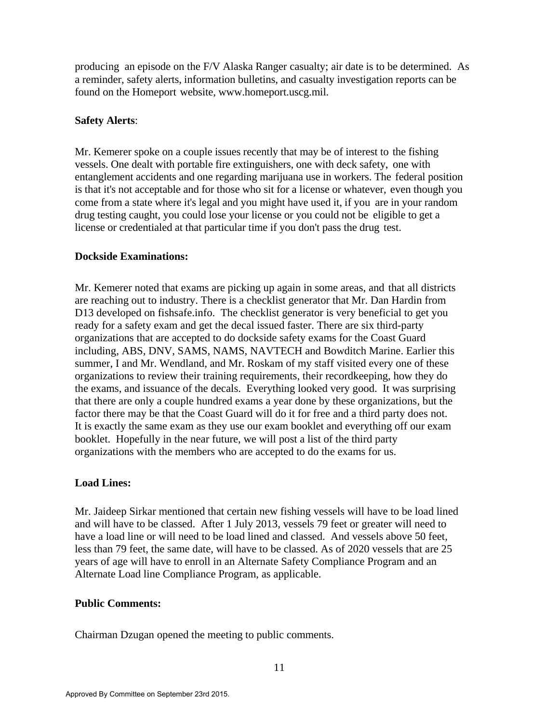producing an episode on the F/V Alaska Ranger casualty; air date is to be determined. As a reminder, safety alerts, information bulletins, and casualty investigation reports can be found on the Homeport website, [www.homeport.uscg.mil.](http://www.homeport.uscg.mil/) 

#### **Safety Alerts**:

Mr. Kemerer spoke on a couple issues recently that may be of interest to the fishing vessels. One dealt with portable fire extinguishers, one with deck safety, one with entanglement accidents and one regarding marijuana use in workers. The federal position is that it's not acceptable and for those who sit for a license or whatever, even though you come from a state where it's legal and you might have used it, if you are in your random drug testing caught, you could lose your license or you could not be eligible to get a license or credentialed at that particular time if you don't pass the drug test.

### **Dockside Examinations:**

Mr. Kemerer noted that exams are picking up again in some areas, and that all districts are reaching out to industry. There is a checklist generator that Mr. Dan Hardin from D13 developed on fishsafe.info. The checklist generator is very beneficial to get you ready for a safety exam and get the decal issued faster. There are six third-party organizations that are accepted to do dockside safety exams for the Coast Guard including, ABS, DNV, SAMS, NAMS, NAVTECH and Bowditch Marine. Earlier this summer, I and Mr. Wendland, and Mr. Roskam of my staff visited every one of these organizations to review their training requirements, their recordkeeping, how they do the exams, and issuance of the decals. Everything looked very good. It was surprising that there are only a couple hundred exams a year done by these organizations, but the factor there may be that the Coast Guard will do it for free and a third party does not. It is exactly the same exam as they use our exam booklet and everything off our exam booklet. Hopefully in the near future, we will post a list of the third party organizations with the members who are accepted to do the exams for us.

## **Load Lines:**

Mr. Jaideep Sirkar mentioned that certain new fishing vessels will have to be load lined and will have to be classed. After 1 July 2013, vessels 79 feet or greater will need to have a load line or will need to be load lined and classed. And vessels above 50 feet, less than 79 feet, the same date, will have to be classed. As of 2020 vessels that are 25 years of age will have to enroll in an Alternate Safety Compliance Program and an Alternate Load line Compliance Program, as applicable.

## **Public Comments:**

Chairman Dzugan opened the meeting to public comments.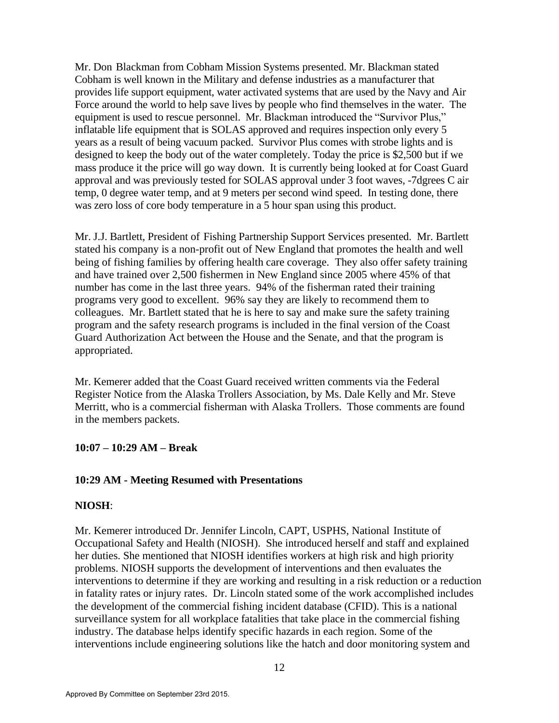Mr. Don Blackman from Cobham Mission Systems presented. Mr. Blackman stated Cobham is well known in the Military and defense industries as a manufacturer that provides life support equipment, water activated systems that are used by the Navy and Air Force around the world to help save lives by people who find themselves in the water. The equipment is used to rescue personnel. Mr. Blackman introduced the "Survivor Plus," inflatable life equipment that is SOLAS approved and requires inspection only every 5 years as a result of being vacuum packed. Survivor Plus comes with strobe lights and is designed to keep the body out of the water completely. Today the price is \$2,500 but if we mass produce it the price will go way down. It is currently being looked at for Coast Guard approval and was previously tested for SOLAS approval under 3 foot waves, -7dgrees C air temp, 0 degree water temp, and at 9 meters per second wind speed. In testing done, there was zero loss of core body temperature in a 5 hour span using this product.

Mr. J.J. Bartlett, President of Fishing Partnership Support Services presented. Mr. Bartlett stated his company is a non-profit out of New England that promotes the health and well being of fishing families by offering health care coverage. They also offer safety training and have trained over 2,500 fishermen in New England since 2005 where 45% of that number has come in the last three years. 94% of the fisherman rated their training programs very good to excellent. 96% say they are likely to recommend them to colleagues. Mr. Bartlett stated that he is here to say and make sure the safety training program and the safety research programs is included in the final version of the Coast Guard Authorization Act between the House and the Senate, and that the program is appropriated.

Mr. Kemerer added that the Coast Guard received written comments via the Federal Register Notice from the Alaska Trollers Association, by Ms. Dale Kelly and Mr. Steve Merritt, who is a commercial fisherman with Alaska Trollers. Those comments are found in the members packets.

#### **10:07 – 10:29 AM – Break**

#### **10:29 AM - Meeting Resumed with Presentations**

#### **NIOSH**:

Mr. Kemerer introduced Dr. Jennifer Lincoln, CAPT, USPHS, National Institute of Occupational Safety and Health (NIOSH). She introduced herself and staff and explained her duties. She mentioned that NIOSH identifies workers at high risk and high priority problems. NIOSH supports the development of interventions and then evaluates the interventions to determine if they are working and resulting in a risk reduction or a reduction in fatality rates or injury rates. Dr. Lincoln stated some of the work accomplished includes the development of the commercial fishing incident database (CFID). This is a national surveillance system for all workplace fatalities that take place in the commercial fishing industry. The database helps identify specific hazards in each region. Some of the interventions include engineering solutions like the hatch and door monitoring system and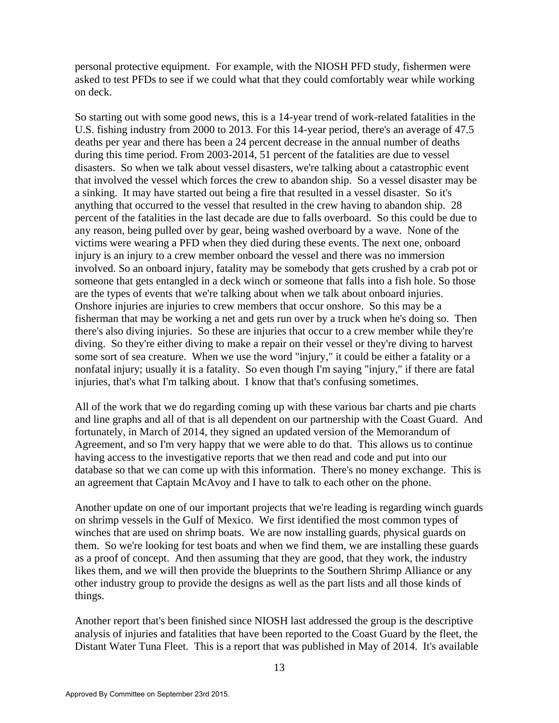personal protective equipment. For example, with the NIOSH PFD study, fishermen were asked to test PFDs to see if we could what that they could comfortably wear while working on deck.

So starting out with some good news, this is a 14-year trend of work-related fatalities in the U.S. fishing industry from 2000 to 2013. For this 14-year period, there's an average of 47.5 deaths per year and there has been a 24 percent decrease in the annual number of deaths during this time period. From 2003-2014, 51 percent of the fatalities are due to vessel disasters. So when we talk about vessel disasters, we're talking about a catastrophic event that involved the vessel which forces the crew to abandon ship. So a vessel disaster may be a sinking. It may have started out being a fire that resulted in a vessel disaster. So it's anything that occurred to the vessel that resulted in the crew having to abandon ship. 28 percent of the fatalities in the last decade are due to falls overboard. So this could be due to any reason, being pulled over by gear, being washed overboard by a wave. None of the victims were wearing a PFD when they died during these events. The next one, onboard injury is an injury to a crew member onboard the vessel and there was no immersion involved. So an onboard injury, fatality may be somebody that gets crushed by a crab pot or someone that gets entangled in a deck winch or someone that falls into a fish hole. So those are the types of events that we're talking about when we talk about onboard injuries. Onshore injuries are injuries to crew members that occur onshore. So this may be a fisherman that may be working a net and gets run over by a truck when he's doing so. Then there's also diving injuries. So these are injuries that occur to a crew member while they're diving. So they're either diving to make a repair on their vessel or they're diving to harvest some sort of sea creature. When we use the word "injury," it could be either a fatality or a nonfatal injury; usually it is a fatality. So even though I'm saying "injury," if there are fatal injuries, that's what I'm talking about. I know that that's confusing sometimes.

All of the work that we do regarding coming up with these various bar charts and pie charts and line graphs and all of that is all dependent on our partnership with the Coast Guard. And fortunately, in March of 2014, they signed an updated version of the Memorandum of Agreement, and so I'm very happy that we were able to do that. This allows us to continue having access to the investigative reports that we then read and code and put into our database so that we can come up with this information. There's no money exchange. This is an agreement that Captain McAvoy and I have to talk to each other on the phone.

Another update on one of our important projects that we're leading is regarding winch guards on shrimp vessels in the Gulf of Mexico. We first identified the most common types of winches that are used on shrimp boats. We are now installing guards, physical guards on them. So we're looking for test boats and when we find them, we are installing these guards as a proof of concept. And then assuming that they are good, that they work, the industry likes them, and we will then provide the blueprints to the Southern Shrimp Alliance or any other industry group to provide the designs as well as the part lists and all those kinds of things.

Another report that's been finished since NIOSH last addressed the group is the descriptive analysis of injuries and fatalities that have been reported to the Coast Guard by the fleet, the Distant Water Tuna Fleet. This is a report that was published in May of 2014. It's available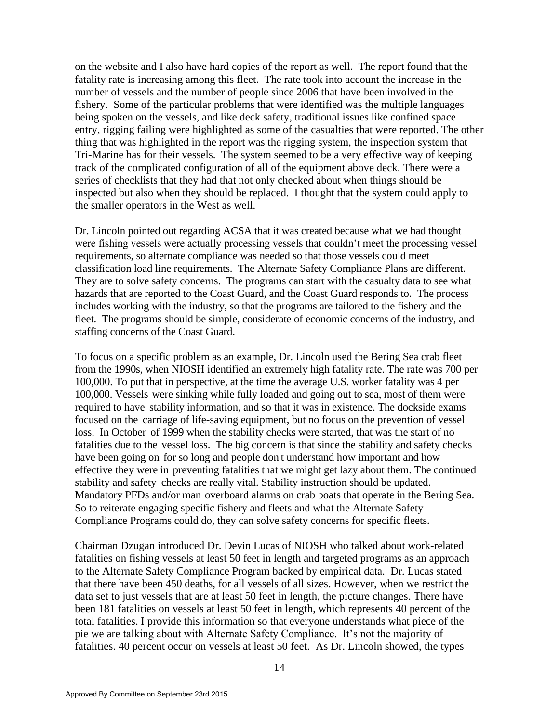on the website and I also have hard copies of the report as well. The report found that the fatality rate is increasing among this fleet. The rate took into account the increase in the number of vessels and the number of people since 2006 that have been involved in the fishery. Some of the particular problems that were identified was the multiple languages being spoken on the vessels, and like deck safety, traditional issues like confined space entry, rigging failing were highlighted as some of the casualties that were reported. The other thing that was highlighted in the report was the rigging system, the inspection system that Tri-Marine has for their vessels. The system seemed to be a very effective way of keeping track of the complicated configuration of all of the equipment above deck. There were a series of checklists that they had that not only checked about when things should be inspected but also when they should be replaced. I thought that the system could apply to the smaller operators in the West as well.

Dr. Lincoln pointed out regarding ACSA that it was created because what we had thought were fishing vessels were actually processing vessels that couldn't meet the processing vessel requirements, so alternate compliance was needed so that those vessels could meet classification load line requirements. The Alternate Safety Compliance Plans are different. They are to solve safety concerns. The programs can start with the casualty data to see what hazards that are reported to the Coast Guard, and the Coast Guard responds to. The process includes working with the industry, so that the programs are tailored to the fishery and the fleet. The programs should be simple, considerate of economic concerns of the industry, and staffing concerns of the Coast Guard.

To focus on a specific problem as an example, Dr. Lincoln used the Bering Sea crab fleet from the 1990s, when NIOSH identified an extremely high fatality rate. The rate was 700 per 100,000. To put that in perspective, at the time the average U.S. worker fatality was 4 per 100,000. Vessels were sinking while fully loaded and going out to sea, most of them were required to have stability information, and so that it was in existence. The dockside exams focused on the carriage of life-saving equipment, but no focus on the prevention of vessel loss. In October of 1999 when the stability checks were started, that was the start of no fatalities due to the vessel loss. The big concern is that since the stability and safety checks have been going on for so long and people don't understand how important and how effective they were in preventing fatalities that we might get lazy about them. The continued stability and safety checks are really vital. Stability instruction should be updated. Mandatory PFDs and/or man overboard alarms on crab boats that operate in the Bering Sea. So to reiterate engaging specific fishery and fleets and what the Alternate Safety Compliance Programs could do, they can solve safety concerns for specific fleets.

[Chairman Dzugan](http://www.regulations.gov/) introduced Dr. Devin Lucas of NIOSH who talked about work-related fatalities on fishing vessels at least 50 feet in length and targeted programs as an approach to the Alternate Safety Compliance Program backed by empirical data. Dr. Lucas stated that there have been 450 deaths, for all vessels of all sizes. However, when we restrict the data set to just vessels that are at least 50 feet in length, the picture changes. There have been 181 fatalities on vessels at least 50 feet in length, which represents 40 percent of the total fatalities. I provide this information so that everyone understands what piece of the pie we are talking about with Alternate Safety Compliance. It's not the majority of fatalities. 40 percent occur on vessels at least 50 feet. As Dr. Lincoln showed, the types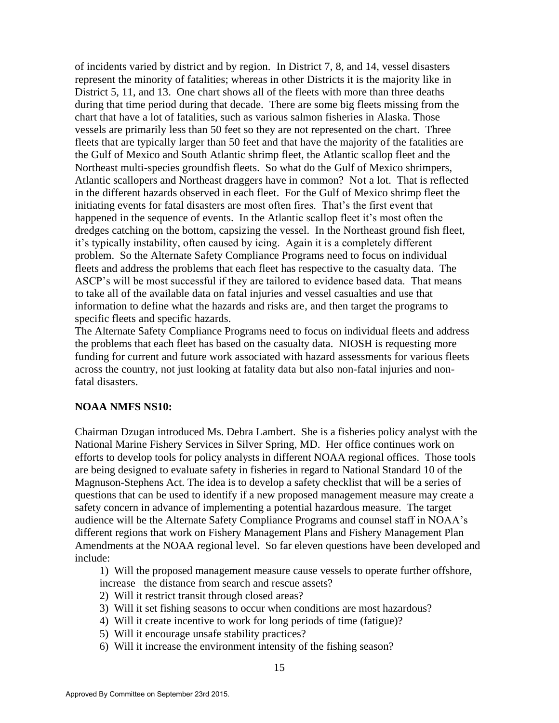of incidents varied by district and by region. In District 7, 8, and 14, vessel disasters represent the minority of fatalities; whereas in other Districts it is the majority like in District 5, 11, and 13. One chart shows all of the fleets with more than three deaths during that time period during that decade. There are some big fleets missing from the chart that have a lot of fatalities, such as various salmon fisheries in Alaska. Those vessels are primarily less than 50 feet so they are not represented on the chart. Three fleets that are typically larger than 50 feet and that have the majority of the fatalities are the Gulf of Mexico and South Atlantic shrimp fleet, the Atlantic scallop fleet and the Northeast multi-species groundfish fleets. So what do the Gulf of Mexico shrimpers, Atlantic scallopers and Northeast draggers have in common? Not a lot. That is reflected in the different hazards observed in each fleet. For the Gulf of Mexico shrimp fleet the initiating events for fatal disasters are most often fires. That's the first event that happened in the sequence of events. In the Atlantic scallop fleet it's most often the dredges catching on the bottom, capsizing the vessel. In the Northeast ground fish fleet, it's typically instability, often caused by icing. Again it is a completely different problem. So the Alternate Safety Compliance Programs need to focus on individual fleets and address the problems that each fleet has respective to the casualty data. The ASCP's will be most successful if they are tailored to evidence based data. That means to take all of the available data on fatal injuries and vessel casualties and use that information to define what the hazards and risks are, and then target the programs to specific fleets and specific hazards.

The Alternate Safety Compliance Programs need to focus on individual fleets and address the problems that each fleet has based on the casualty data. NIOSH is requesting more funding for current and future work associated with hazard assessments for various fleets across the country, not just looking at fatality data but also non-fatal injuries and nonfatal disasters.

#### **NOAA NMFS NS10:**

Chairman Dzugan introduced Ms. Debra Lambert. She is a fisheries policy analyst with the National Marine Fishery Services in Silver Spring, MD. Her office continues work on efforts to develop tools for policy analysts in different NOAA regional offices. Those tools are being designed to evaluate safety in fisheries in regard to National Standard 10 of the Magnuson-Stephens Act. The idea is to develop a safety checklist that will be a series of questions that can be used to identify if a new proposed management measure may create a safety concern in advance of implementing a potential hazardous measure. The target audience will be the Alternate Safety Compliance Programs and counsel staff in NOAA's different regions that work on Fishery Management Plans and Fishery Management Plan Amendments at the NOAA regional level. So far eleven questions have been developed and include:

1) Will the proposed management measure cause vessels to operate further offshore, increase the distance from search and rescue assets?

- 2) Will it restrict transit through closed areas?
- 3) Will it set fishing seasons to occur when conditions are most hazardous?
- 4) Will it create incentive to work for long periods of time (fatigue)?
- 5) Will it encourage unsafe stability practices?
- 6) Will it increase the environment intensity of the fishing season?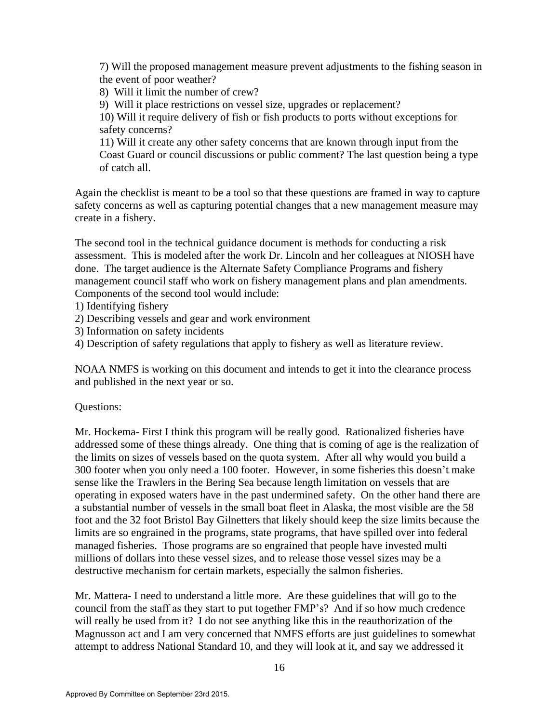7) Will the proposed management measure prevent adjustments to the fishing season in the event of poor weather?

8) Will it limit the number of crew?

9) Will it place restrictions on vessel size, upgrades or replacement?

10) Will it require delivery of fish or fish products to ports without exceptions for safety concerns?

11) Will it create any other safety concerns that are known through input from the Coast Guard or council discussions or public comment? The last question being a type of catch all.

Again the checklist is meant to be a tool so that these questions are framed in way to capture safety concerns as well as capturing potential changes that a new management measure may create in a fishery.

The second tool in the technical guidance document is methods for conducting a risk assessment. This is modeled after the work Dr. Lincoln and her colleagues at NIOSH have done. The target audience is the Alternate Safety Compliance Programs and fishery management council staff who work on fishery management plans and plan amendments. Components of the second tool would include:

1) Identifying fishery

- 2) Describing vessels and gear and work environment
- 3) Information on safety incidents

4) Description of safety regulations that apply to fishery as well as literature review.

NOAA NMFS is working on this document and intends to get it into the clearance process and published in the next year or so.

#### Questions:

Mr. Hockema- First I think this program will be really good. Rationalized fisheries have addressed some of these things already. One thing that is coming of age is the realization of the limits on sizes of vessels based on the quota system. After all why would you build a 300 footer when you only need a 100 footer. However, in some fisheries this doesn't make sense like the Trawlers in the Bering Sea because length limitation on vessels that are operating in exposed waters have in the past undermined safety. On the other hand there are a substantial number of vessels in the small boat fleet in Alaska, the most visible are the 58 foot and the 32 foot Bristol Bay Gilnetters that likely should keep the size limits because the limits are so engrained in the programs, state programs, that have spilled over into federal managed fisheries. Those programs are so engrained that people have invested multi millions of dollars into these vessel sizes, and to release those vessel sizes may be a destructive mechanism for certain markets, especially the salmon fisheries.

Mr. Mattera- I need to understand a little more. Are these guidelines that will go to the council from the staff as they start to put together FMP's? And if so how much credence will really be used from it? I do not see anything like this in the reauthorization of the Magnusson act and I am very concerned that NMFS efforts are just guidelines to somewhat attempt to address National Standard 10, and they will look at it, and say we addressed it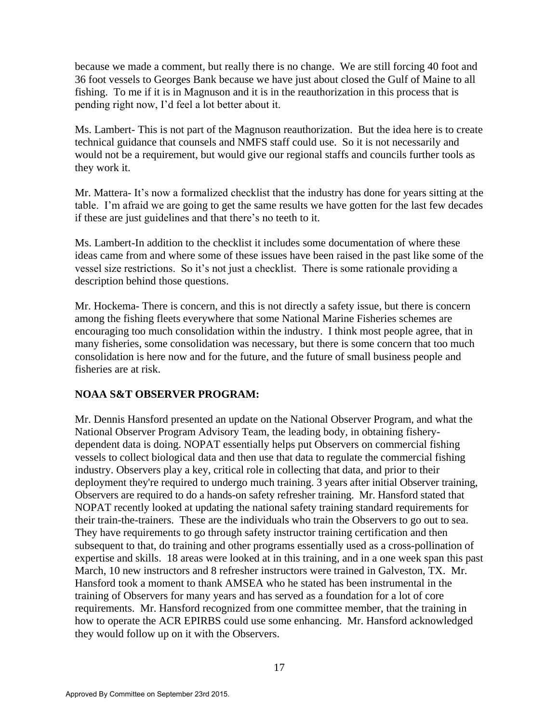because we made a comment, but really there is no change. We are still forcing 40 foot and 36 foot vessels to Georges Bank because we have just about closed the Gulf of Maine to all fishing. To me if it is in Magnuson and it is in the reauthorization in this process that is pending right now, I'd feel a lot better about it.

Ms. Lambert- This is not part of the Magnuson reauthorization. But the idea here is to create technical guidance that counsels and NMFS staff could use. So it is not necessarily and would not be a requirement, but would give our regional staffs and councils further tools as they work it.

Mr. Mattera- It's now a formalized checklist that the industry has done for years sitting at the table. I'm afraid we are going to get the same results we have gotten for the last few decades if these are just guidelines and that there's no teeth to it.

Ms. Lambert-In addition to the checklist it includes some documentation of where these ideas came from and where some of these issues have been raised in the past like some of the vessel size restrictions. So it's not just a checklist. There is some rationale providing a description behind those questions.

Mr. Hockema- There is concern, and this is not directly a safety issue, but there is concern among the fishing fleets everywhere that some National Marine Fisheries schemes are encouraging too much consolidation within the industry. I think most people agree, that in many fisheries, some consolidation was necessary, but there is some concern that too much consolidation is here now and for the future, and the future of small business people and fisheries are at risk.

## **NOAA S&T OBSERVER PROGRAM:**

Mr. Dennis Hansford presented an update on the National Observer Program, and what the National Observer Program Advisory Team, the leading body, in obtaining fisherydependent data is doing. NOPAT essentially helps put Observers on commercial fishing vessels to collect biological data and then use that data to regulate the commercial fishing industry. Observers play a key, critical role in collecting that data, and prior to their deployment they're required to undergo much training. 3 years after initial Observer training, Observers are required to do a hands-on safety refresher training. Mr. Hansford stated that NOPAT recently looked at updating the national safety training standard requirements for their train-the-trainers. These are the individuals who train the Observers to go out to sea. They have requirements to go through safety instructor training certification and then subsequent to that, do training and other programs essentially used as a cross-pollination of expertise and skills. 18 areas were looked at in this training, and in a one week span this past March, 10 new instructors and 8 refresher instructors were trained in Galveston, TX. Mr. Hansford took a moment to thank AMSEA who he stated has been instrumental in the training of Observers for many years and has served as a foundation for a lot of core requirements. Mr. Hansford recognized from one committee member, that the training in how to operate the ACR EPIRBS could use some enhancing. Mr. Hansford acknowledged they would follow up on it with the Observers.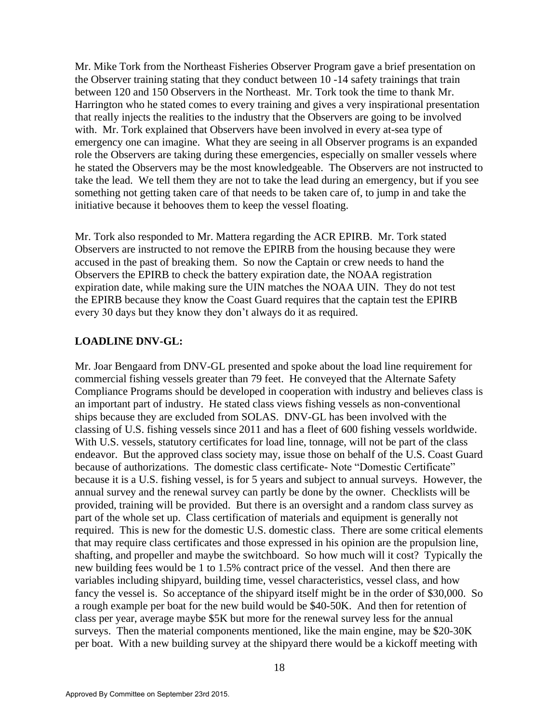Mr. Mike Tork from the Northeast Fisheries Observer Program gave a brief presentation on the Observer training stating that they conduct between 10 -14 safety trainings that train between 120 and 150 Observers in the Northeast. Mr. Tork took the time to thank Mr. Harrington who he stated comes to every training and gives a very inspirational presentation that really injects the realities to the industry that the Observers are going to be involved with. Mr. Tork explained that Observers have been involved in every at-sea type of emergency one can imagine. What they are seeing in all Observer programs is an expanded role the Observers are taking during these emergencies, especially on smaller vessels where he stated the Observers may be the most knowledgeable. The Observers are not instructed to take the lead. We tell them they are not to take the lead during an emergency, but if you see something not getting taken care of that needs to be taken care of, to jump in and take the initiative because it behooves them to keep the vessel floating.

Mr. Tork also responded to Mr. Mattera regarding the ACR EPIRB. Mr. Tork stated Observers are instructed to not remove the EPIRB from the housing because they were accused in the past of breaking them. So now the Captain or crew needs to hand the Observers the EPIRB to check the battery expiration date, the NOAA registration expiration date, while making sure the UIN matches the NOAA UIN. They do not test the EPIRB because they know the Coast Guard requires that the captain test the EPIRB every 30 days but they know they don't always do it as required.

#### **LOADLINE DNV-GL:**

Mr. Joar Bengaard from DNV-GL presented and spoke about the load line requirement for commercial fishing vessels greater than 79 feet. He conveyed that the Alternate Safety Compliance Programs should be developed in cooperation with industry and believes class is an important part of industry. He stated class views fishing vessels as non-conventional ships because they are excluded from SOLAS. DNV-GL has been involved with the classing of U.S. fishing vessels since 2011 and has a fleet of 600 fishing vessels worldwide. With U.S. vessels, statutory certificates for load line, tonnage, will not be part of the class endeavor. But the approved class society may, issue those on behalf of the U.S. Coast Guard because of authorizations. The domestic class certificate- Note "Domestic Certificate" because it is a U.S. fishing vessel, is for 5 years and subject to annual surveys. However, the annual survey and the renewal survey can partly be done by the owner. Checklists will be provided, training will be provided. But there is an oversight and a random class survey as part of the whole set up. Class certification of materials and equipment is generally not required. This is new for the domestic U.S. domestic class. There are some critical elements that may require class certificates and those expressed in his opinion are the propulsion line, shafting, and propeller and maybe the switchboard. So how much will it cost? Typically the new building fees would be 1 to 1.5% contract price of the vessel. And then there are variables including shipyard, building time, vessel characteristics, vessel class, and how fancy the vessel is. So acceptance of the shipyard itself might be in the order of \$30,000. So a rough example per boat for the new build would be \$40-50K. And then for retention of class per year, average maybe \$5K but more for the renewal survey less for the annual surveys. Then the material components mentioned, like the main engine, may be \$20-30K per boat. With a new building survey at the shipyard there would be a kickoff meeting with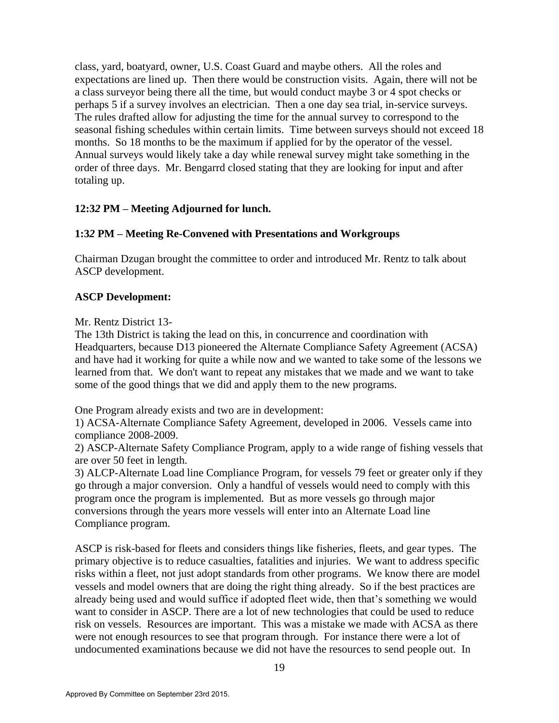class, yard, boatyard, owner, U.S. Coast Guard and maybe others. All the roles and expectations are lined up. Then there would be construction visits. Again, there will not be a class surveyor being there all the time, but would conduct maybe 3 or 4 spot checks or perhaps 5 if a survey involves an electrician. Then a one day sea trial, in-service surveys. The rules drafted allow for adjusting the time for the annual survey to correspond to the seasonal fishing schedules within certain limits. Time between surveys should not exceed 18 months. So 18 months to be the maximum if applied for by the operator of the vessel. Annual surveys would likely take a day while renewal survey might take something in the order of three days. Mr. Bengarrd closed stating that they are looking for input and after totaling up.

## **12:3***2* **PM – Meeting Adjourned for lunch.**

# **1:3***2* **PM – Meeting Re-Convened with Presentations and Workgroups**

Chairman Dzugan brought the committee to order and introduced Mr. Rentz to talk about ASCP development.

# **ASCP Development:**

Mr. Rentz District 13-

The 13th District is taking the lead on this, in concurrence and coordination with Headquarters, because D13 pioneered the Alternate Compliance Safety Agreement (ACSA) and have had it working for quite a while now and we wanted to take some of the lessons we learned from that. We don't want to repeat any mistakes that we made and we want to take some of the good things that we did and apply them to the new programs.

One Program already exists and two are in development:

1) ACSA-Alternate Compliance Safety Agreement, developed in 2006. Vessels came into compliance 2008-2009.

2) ASCP-Alternate Safety Compliance Program, apply to a wide range of fishing vessels that are over 50 feet in length.

3) ALCP-Alternate Load line Compliance Program, for vessels 79 feet or greater only if they go through a major conversion. Only a handful of vessels would need to comply with this program once the program is implemented. But as more vessels go through major conversions through the years more vessels will enter into an Alternate Load line Compliance program.

ASCP is risk-based for fleets and considers things like fisheries, fleets, and gear types. The primary objective is to reduce casualties, fatalities and injuries. We want to address specific risks within a fleet, not just adopt standards from other programs. We know there are model vessels and model owners that are doing the right thing already. So if the best practices are already being used and would suffice if adopted fleet wide, then that's something we would want to consider in ASCP. There are a lot of new technologies that could be used to reduce risk on vessels. Resources are important. This was a mistake we made with ACSA as there were not enough resources to see that program through. For instance there were a lot of undocumented examinations because we did not have the resources to send people out. In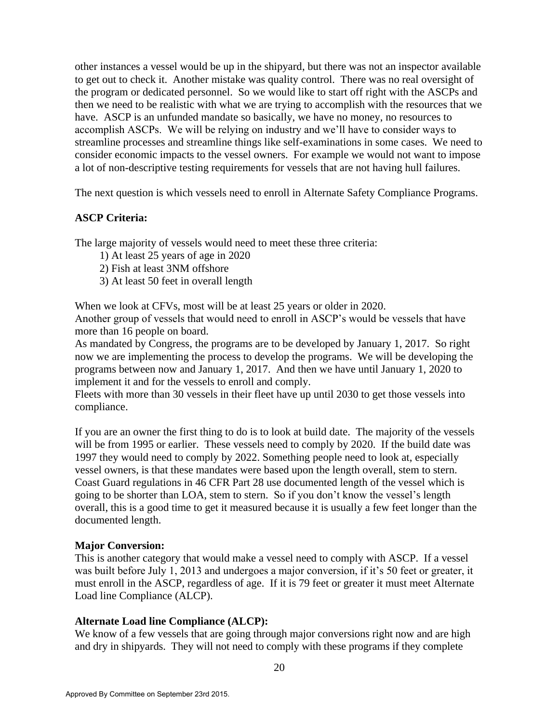other instances a vessel would be up in the shipyard, but there was not an inspector available to get out to check it. Another mistake was quality control. There was no real oversight of the program or dedicated personnel. So we would like to start off right with the ASCPs and then we need to be realistic with what we are trying to accomplish with the resources that we have. ASCP is an unfunded mandate so basically, we have no money, no resources to accomplish ASCPs. We will be relying on industry and we'll have to consider ways to streamline processes and streamline things like self-examinations in some cases. We need to consider economic impacts to the vessel owners. For example we would not want to impose a lot of non-descriptive testing requirements for vessels that are not having hull failures.

The next question is which vessels need to enroll in Alternate Safety Compliance Programs.

### **ASCP Criteria:**

The large majority of vessels would need to meet these three criteria:

- 1) At least 25 years of age in 2020
- 2) Fish at least 3NM offshore
- 3) At least 50 feet in overall length

When we look at CFVs, most will be at least 25 years or older in 2020.

Another group of vessels that would need to enroll in ASCP's would be vessels that have more than 16 people on board.

As mandated by Congress, the programs are to be developed by January 1, 2017. So right now we are implementing the process to develop the programs. We will be developing the programs between now and January 1, 2017. And then we have until January 1, 2020 to implement it and for the vessels to enroll and comply.

Fleets with more than 30 vessels in their fleet have up until 2030 to get those vessels into compliance.

If you are an owner the first thing to do is to look at build date. The majority of the vessels will be from 1995 or earlier. These vessels need to comply by 2020. If the build date was 1997 they would need to comply by 2022. Something people need to look at, especially vessel owners, is that these mandates were based upon the length overall, stem to stern. Coast Guard regulations in 46 CFR Part 28 use documented length of the vessel which is going to be shorter than LOA, stem to stern. So if you don't know the vessel's length overall, this is a good time to get it measured because it is usually a few feet longer than the documented length.

#### **Major Conversion:**

This is another category that would make a vessel need to comply with ASCP. If a vessel was built before July 1, 2013 and undergoes a major conversion, if it's 50 feet or greater, it must enroll in the ASCP, regardless of age. If it is 79 feet or greater it must meet Alternate Load line Compliance (ALCP).

## **Alternate Load line Compliance (ALCP):**

We know of a few vessels that are going through major conversions right now and are high and dry in shipyards. They will not need to comply with these programs if they complete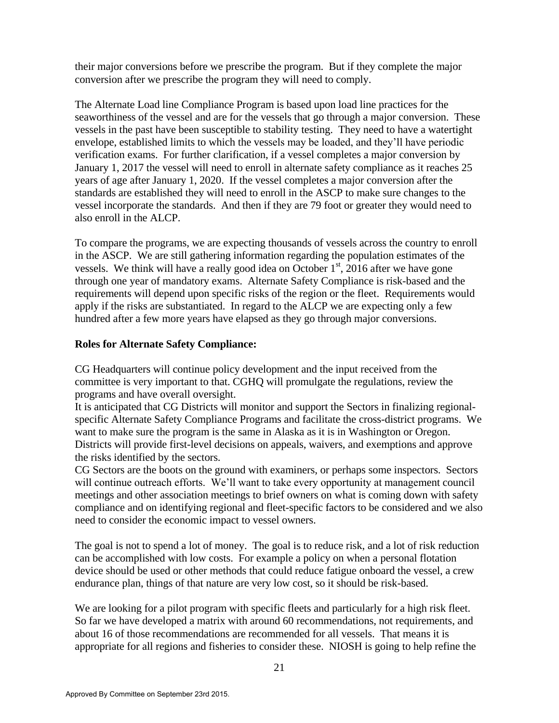their major conversions before we prescribe the program. But if they complete the major conversion after we prescribe the program they will need to comply.

The Alternate Load line Compliance Program is based upon load line practices for the seaworthiness of the vessel and are for the vessels that go through a major conversion. These vessels in the past have been susceptible to stability testing. They need to have a watertight envelope, established limits to which the vessels may be loaded, and they'll have periodic verification exams. For further clarification, if a vessel completes a major conversion by January 1, 2017 the vessel will need to enroll in alternate safety compliance as it reaches 25 years of age after January 1, 2020. If the vessel completes a major conversion after the standards are established they will need to enroll in the ASCP to make sure changes to the vessel incorporate the standards. And then if they are 79 foot or greater they would need to also enroll in the ALCP.

To compare the programs, we are expecting thousands of vessels across the country to enroll in the ASCP. We are still gathering information regarding the population estimates of the vessels. We think will have a really good idea on October  $1<sup>st</sup>$ , 2016 after we have gone through one year of mandatory exams. Alternate Safety Compliance is risk-based and the requirements will depend upon specific risks of the region or the fleet. Requirements would apply if the risks are substantiated. In regard to the ALCP we are expecting only a few hundred after a few more years have elapsed as they go through major conversions.

#### **Roles for Alternate Safety Compliance:**

CG Headquarters will continue policy development and the input received from the committee is very important to that. CGHQ will promulgate the regulations, review the programs and have overall oversight.

It is anticipated that CG Districts will monitor and support the Sectors in finalizing regionalspecific Alternate Safety Compliance Programs and facilitate the cross-district programs. We want to make sure the program is the same in Alaska as it is in Washington or Oregon. Districts will provide first-level decisions on appeals, waivers, and exemptions and approve the risks identified by the sectors.

CG Sectors are the boots on the ground with examiners, or perhaps some inspectors. Sectors will continue outreach efforts. We'll want to take every opportunity at management council meetings and other association meetings to brief owners on what is coming down with safety compliance and on identifying regional and fleet-specific factors to be considered and we also need to consider the economic impact to vessel owners.

The goal is not to spend a lot of money. The goal is to reduce risk, and a lot of risk reduction can be accomplished with low costs. For example a policy on when a personal flotation device should be used or other methods that could reduce fatigue onboard the vessel, a crew endurance plan, things of that nature are very low cost, so it should be risk-based.

We are looking for a pilot program with specific fleets and particularly for a high risk fleet. So far we have developed a matrix with around 60 recommendations, not requirements, and about 16 of those recommendations are recommended for all vessels. That means it is appropriate for all regions and fisheries to consider these. NIOSH is going to help refine the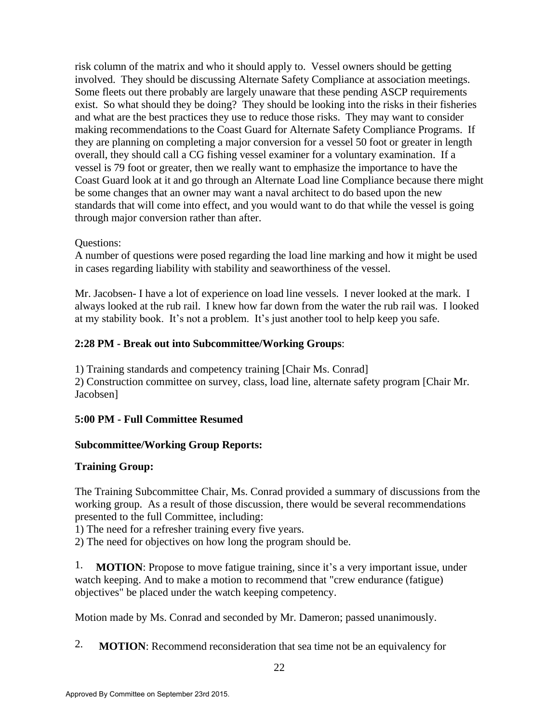risk column of the matrix and who it should apply to. Vessel owners should be getting involved. They should be discussing Alternate Safety Compliance at association meetings. Some fleets out there probably are largely unaware that these pending ASCP requirements exist. So what should they be doing? They should be looking into the risks in their fisheries and what are the best practices they use to reduce those risks. They may want to consider making recommendations to the Coast Guard for Alternate Safety Compliance Programs. If they are planning on completing a major conversion for a vessel 50 foot or greater in length overall, they should call a CG fishing vessel examiner for a voluntary examination. If a vessel is 79 foot or greater, then we really want to emphasize the importance to have the Coast Guard look at it and go through an Alternate Load line Compliance because there might be some changes that an owner may want a naval architect to do based upon the new standards that will come into effect, and you would want to do that while the vessel is going through major conversion rather than after.

### Questions:

A number of questions were posed regarding the load line marking and how it might be used in cases regarding liability with stability and seaworthiness of the vessel.

Mr. Jacobsen- I have a lot of experience on load line vessels. I never looked at the mark. I always looked at the rub rail. I knew how far down from the water the rub rail was. I looked at my stability book. It's not a problem. It's just another tool to help keep you safe.

## **2:28 PM - Break out into Subcommittee/Working Groups**:

1) Training standards and competency training [Chair Ms. Conrad] 2) Construction committee on survey, class, load line, alternate safety program [Chair Mr. Jacobsen]

## **5:00 PM - Full Committee Resumed**

## **Subcommittee/Working Group Reports:**

## **Training Group:**

The Training Subcommittee Chair, Ms. Conrad provided a summary of discussions from the working group. As a result of those discussion, there would be several recommendations presented to the full Committee, including:

1) The need for a refresher training every five years.

2) The need for objectives on how long the program should be.

1. **MOTION**: Propose to move fatigue training, since it's a very important issue, under watch keeping. And to make a motion to recommend that "crew endurance (fatigue) objectives" be placed under the watch keeping competency.

Motion made by Ms. Conrad and seconded by Mr. Dameron; passed unanimously.

2. **MOTION**: Recommend reconsideration that sea time not be an equivalency for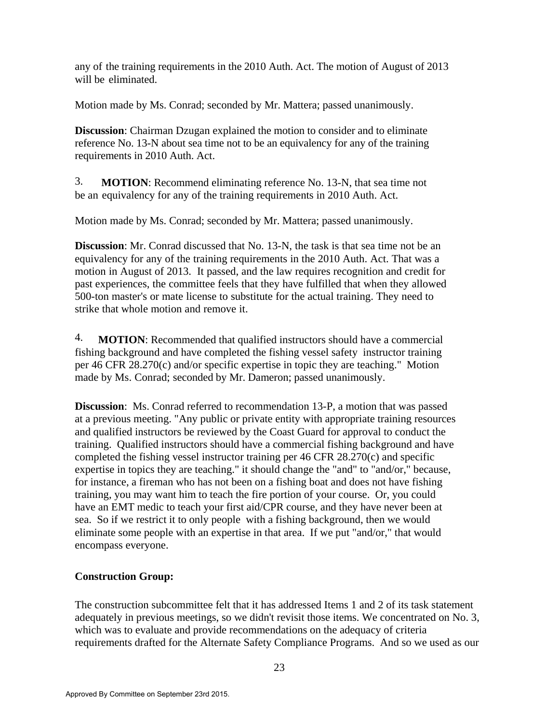any of the training requirements in the 2010 Auth. Act. The motion of August of 2013 will be eliminated.

Motion made by Ms. Conrad; seconded by Mr. Mattera; passed unanimously.

**Discussion**: Chairman Dzugan explained the motion to consider and to eliminate reference No. 13-N about sea time not to be an equivalency for any of the training requirements in 2010 Auth. Act.

3. **MOTION**: Recommend eliminating reference No. 13-N, that sea time not be an equivalency for any of the training requirements in 2010 Auth. Act.

Motion made by Ms. Conrad; seconded by Mr. Mattera; passed unanimously.

**Discussion**: Mr. Conrad discussed that No. 13-N, the task is that sea time not be an equivalency for any of the training requirements in the 2010 Auth. Act. That was a motion in August of 2013. It passed, and the law requires recognition and credit for past experiences, the committee feels that they have fulfilled that when they allowed 500-ton master's or mate license to substitute for the actual training. They need to strike that whole motion and remove it.

4. **MOTION**: Recommended that qualified instructors should have a commercial fishing background and have completed the fishing vessel safety instructor training per 46 CFR 28.270(c) and/or specific expertise in topic they are teaching." Motion made by Ms. Conrad; seconded by Mr. Dameron; passed unanimously.

**Discussion**: Ms. Conrad referred to recommendation 13-P, a motion that was passed at a previous meeting. "Any public or private entity with appropriate training resources and qualified instructors be reviewed by the Coast Guard for approval to conduct the training. Qualified instructors should have a commercial fishing background and have completed the fishing vessel instructor training per 46 CFR 28.270(c) and specific expertise in topics they are teaching." it should change the "and" to "and/or," because, for instance, a fireman who has not been on a fishing boat and does not have fishing training, you may want him to teach the fire portion of your course. Or, you could have an EMT medic to teach your first aid/CPR course, and they have never been at sea. So if we restrict it to only people with a fishing background, then we would eliminate some people with an expertise in that area. If we put "and/or," that would encompass everyone.

#### **Construction Group:**

The construction subcommittee felt that it has addressed Items 1 and 2 of its task statement adequately in previous meetings, so we didn't revisit those items. We concentrated on No. 3, which was to evaluate and provide recommendations on the adequacy of criteria requirements drafted for the Alternate Safety Compliance Programs. And so we used as our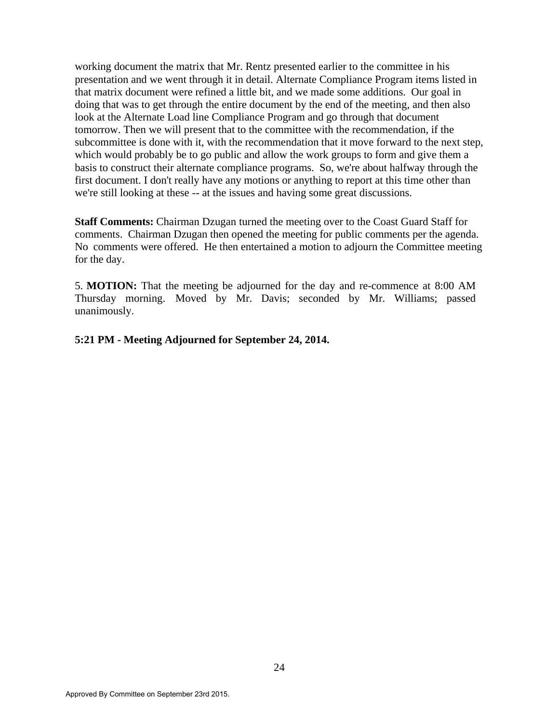working document the matrix that Mr. Rentz presented earlier to the committee in his presentation and we went through it in detail. Alternate Compliance Program items listed in that matrix document were refined a little bit, and we made some additions. Our goal in doing that was to get through the entire document by the end of the meeting, and then also look at the Alternate Load line Compliance Program and go through that document tomorrow. Then we will present that to the committee with the recommendation, if the subcommittee is done with it, with the recommendation that it move forward to the next step, which would probably be to go public and allow the work groups to form and give them a basis to construct their alternate compliance programs. So, we're about halfway through the first document. I don't really have any motions or anything to report at this time other than we're still looking at these -- at the issues and having some great discussions.

**Staff Comments:** Chairman Dzugan turned the meeting over to the Coast Guard Staff for comments. Chairman Dzugan then opened the meeting for public comments per the agenda. No comments were offered. He then entertained a motion to adjourn the Committee meeting for the day.

5. **MOTION:** That the meeting be adjourned for the day and re-commence at 8:00 AM Thursday morning. Moved by Mr. Davis; seconded by Mr. Williams; passed unanimously.

**5:21 PM - Meeting Adjourned for September 24, 2014.**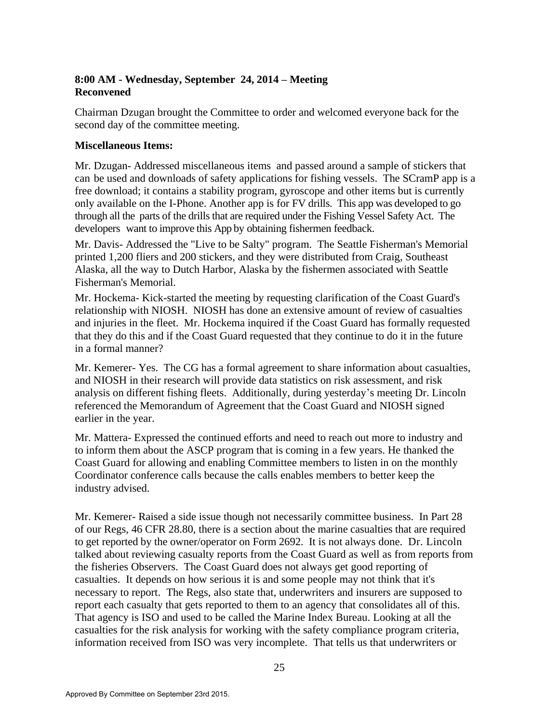# **8:00 AM - Wednesday, September 24, 2014 – Meeting Reconvened**

Chairman Dzugan brought the Committee to order and welcomed everyone back for the second day of the committee meeting.

### **Miscellaneous Items:**

Mr. Dzugan- Addressed miscellaneous items and passed around a sample of stickers that can be used and downloads of safety applications for fishing vessels. The SCramP app is a free download; it contains a stability program, gyroscope and other items but is currently only available on the I-Phone. Another app is for FV drills. This app was developed to go through all the parts of the drills that are required under the Fishing Vessel Safety Act. The developers want to improve this App by obtaining fishermen feedback.

Mr. Davis- Addressed the "Live to be Salty" program. The Seattle Fisherman's Memorial printed 1,200 fliers and 200 stickers, and they were distributed from Craig, Southeast Alaska, all the way to Dutch Harbor, Alaska by the fishermen associated with Seattle Fisherman's Memorial.

Mr. Hockema- Kick-started the meeting by requesting clarification of the Coast Guard's relationship with NIOSH. NIOSH has done an extensive amount of review of casualties and injuries in the fleet. Mr. Hockema inquired if the Coast Guard has formally requested that they do this and if the Coast Guard requested that they continue to do it in the future in a formal manner?

Mr. Kemerer- Yes. The CG has a formal agreement to share information about casualties, and NIOSH in their research will provide data statistics on risk assessment, and risk analysis on different fishing fleets. Additionally, during yesterday's meeting Dr. Lincoln referenced the Memorandum of Agreement that the Coast Guard and NIOSH signed earlier in the year.

Mr. Mattera- Expressed the continued efforts and need to reach out more to industry and to inform them about the ASCP program that is coming in a few years. He thanked the Coast Guard for allowing and enabling Committee members to listen in on the monthly Coordinator conference calls because the calls enables members to better keep the industry advised.

Mr. Kemerer- Raised a side issue though not necessarily committee business. In Part 28 of our Regs, 46 CFR 28.80, there is a section about the marine casualties that are required to get reported by the owner/operator on Form 2692. It is not always done. Dr. Lincoln talked about reviewing casualty reports from the Coast Guard as well as from reports from the fisheries Observers. The Coast Guard does not always get good reporting of casualties. It depends on how serious it is and some people may not think that it's necessary to report. The Regs, also state that, underwriters and insurers are supposed to report each casualty that gets reported to them to an agency that consolidates all of this. That agency is ISO and used to be called the Marine Index Bureau. Looking at all the casualties for the risk analysis for working with the safety compliance program criteria, information received from ISO was very incomplete. That tells us that underwriters or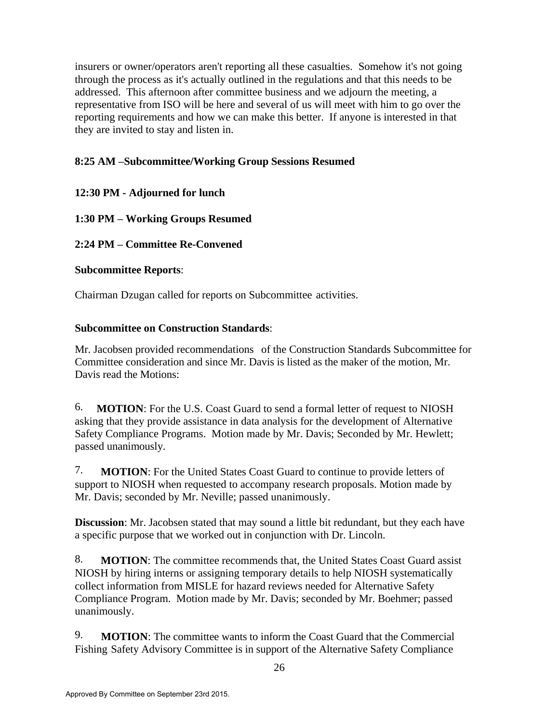insurers or owner/operators aren't reporting all these casualties. Somehow it's not going through the process as it's actually outlined in the regulations and that this needs to be addressed. This afternoon after committee business and we adjourn the meeting, a representative from ISO will be here and several of us will meet with him to go over the reporting requirements and how we can make this better. If anyone is interested in that they are invited to stay and listen in.

# **8:25 AM –Subcommittee/Working Group Sessions Resumed**

# **12:30 PM - Adjourned for lunch**

# **1:30 PM – Working Groups Resumed**

# **2:24 PM – Committee Re-Convened**

## **Subcommittee Reports**:

Chairman Dzugan called for reports on Subcommittee activities.

## **Subcommittee on Construction Standards**:

Mr. Jacobsen provided recommendations of the Construction Standards Subcommittee for Committee consideration and since Mr. Davis is listed as the maker of the motion, Mr. Davis read the Motions:

6. **MOTION**: For the U.S. Coast Guard to send a formal letter of request to NIOSH asking that they provide assistance in data analysis for the development of Alternative Safety Compliance Programs. Motion made by Mr. Davis; Seconded by Mr. Hewlett; passed unanimously.

7. **MOTION**: For the United States Coast Guard to continue to provide letters of support to NIOSH when requested to accompany research proposals. Motion made by Mr. Davis; seconded by Mr. Neville; passed unanimously.

**Discussion**: Mr. Jacobsen stated that may sound a little bit redundant, but they each have a specific purpose that we worked out in conjunction with Dr. Lincoln.

8. **MOTION**: The committee recommends that, the United States Coast Guard assist NIOSH by hiring interns or assigning temporary details to help NIOSH systematically collect information from MISLE for hazard reviews needed for Alternative Safety Compliance Program. Motion made by Mr. Davis; seconded by Mr. Boehmer; passed unanimously.

9. **MOTION**: The committee wants to inform the Coast Guard that the Commercial Fishing Safety Advisory Committee is in support of the Alternative Safety Compliance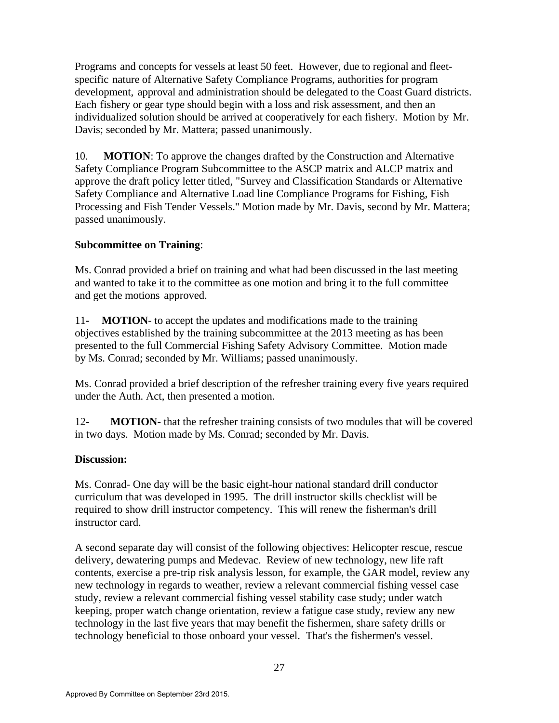Programs and concepts for vessels at least 50 feet. However, due to regional and fleetspecific nature of Alternative Safety Compliance Programs, authorities for program development, approval and administration should be delegated to the Coast Guard districts. Each fishery or gear type should begin with a loss and risk assessment, and then an individualized solution should be arrived at cooperatively for each fishery. Motion by Mr. Davis; seconded by Mr. Mattera; passed unanimously.

10. **MOTION**: To approve the changes drafted by the Construction and Alternative Safety Compliance Program Subcommittee to the ASCP matrix and ALCP matrix and approve the draft policy letter titled, "Survey and Classification Standards or Alternative Safety Compliance and Alternative Load line Compliance Programs for Fishing, Fish Processing and Fish Tender Vessels." Motion made by Mr. Davis, second by Mr. Mattera; passed unanimously.

## **Subcommittee on Training**:

Ms. Conrad provided a brief on training and what had been discussed in the last meeting and wanted to take it to the committee as one motion and bring it to the full committee and get the motions approved.

11**- MOTION**- to accept the updates and modifications made to the training objectives established by the training subcommittee at the 2013 meeting as has been presented to the full Commercial Fishing Safety Advisory Committee. Motion made by Ms. Conrad; seconded by Mr. Williams; passed unanimously.

Ms. Conrad provided a brief description of the refresher training every five years required under the Auth. Act, then presented a motion.

12**- MOTION-** that the refresher training consists of two modules that will be covered in two days. Motion made by Ms. Conrad; seconded by Mr. Davis.

#### **Discussion:**

Ms. Conrad- One day will be the basic eight-hour national standard drill conductor curriculum that was developed in 1995. The drill instructor skills checklist will be required to show drill instructor competency. This will renew the fisherman's drill instructor card.

A second separate day will consist of the following objectives: Helicopter rescue, rescue delivery, dewatering pumps and Medevac. Review of new technology, new life raft contents, exercise a pre-trip risk analysis lesson, for example, the GAR model, review any new technology in regards to weather, review a relevant commercial fishing vessel case study, review a relevant commercial fishing vessel stability case study; under watch keeping, proper watch change orientation, review a fatigue case study, review any new technology in the last five years that may benefit the fishermen, share safety drills or technology beneficial to those onboard your vessel. That's the fishermen's vessel.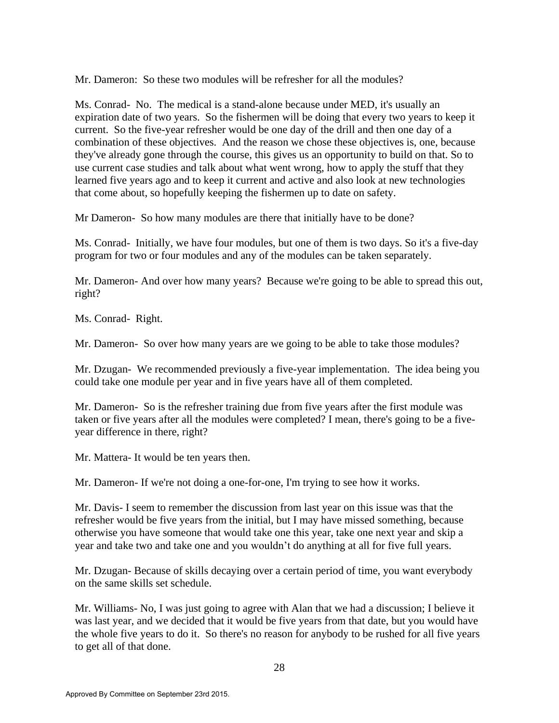Mr. Dameron: So these two modules will be refresher for all the modules?

Ms. Conrad- No. The medical is a stand-alone because under MED, it's usually an expiration date of two years. So the fishermen will be doing that every two years to keep it current. So the five-year refresher would be one day of the drill and then one day of a combination of these objectives. And the reason we chose these objectives is, one, because they've already gone through the course, this gives us an opportunity to build on that. So to use current case studies and talk about what went wrong, how to apply the stuff that they learned five years ago and to keep it current and active and also look at new technologies that come about, so hopefully keeping the fishermen up to date on safety.

Mr Dameron- So how many modules are there that initially have to be done?

Ms. Conrad- Initially, we have four modules, but one of them is two days. So it's a five-day program for two or four modules and any of the modules can be taken separately.

Mr. Dameron- And over how many years? Because we're going to be able to spread this out, right?

Ms. Conrad- Right.

Mr. Dameron- So over how many years are we going to be able to take those modules?

Mr. Dzugan- We recommended previously a five-year implementation. The idea being you could take one module per year and in five years have all of them completed.

Mr. Dameron- So is the refresher training due from five years after the first module was taken or five years after all the modules were completed? I mean, there's going to be a fiveyear difference in there, right?

Mr. Mattera- It would be ten years then.

Mr. Dameron- If we're not doing a one-for-one, I'm trying to see how it works.

Mr. Davis- I seem to remember the discussion from last year on this issue was that the refresher would be five years from the initial, but I may have missed something, because otherwise you have someone that would take one this year, take one next year and skip a year and take two and take one and you wouldn't do anything at all for five full years.

Mr. Dzugan- Because of skills decaying over a certain period of time, you want everybody on the same skills set schedule.

Mr. Williams- No, I was just going to agree with Alan that we had a discussion; I believe it was last year, and we decided that it would be five years from that date, but you would have the whole five years to do it. So there's no reason for anybody to be rushed for all five years to get all of that done.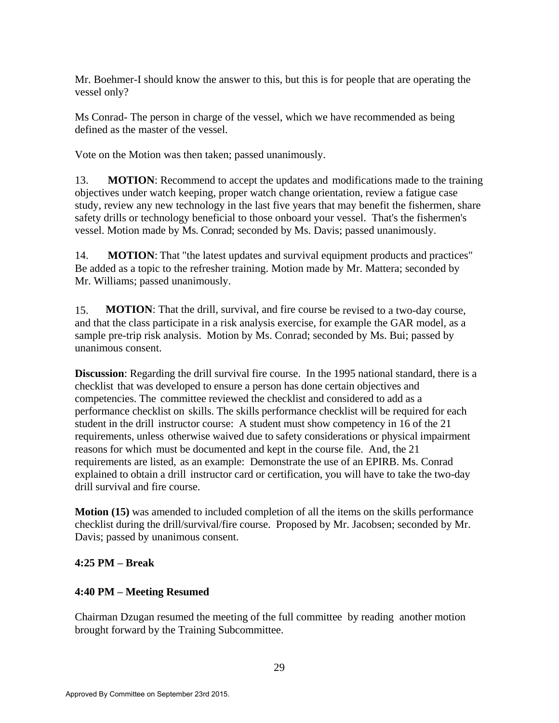Mr. Boehmer-I should know the answer to this, but this is for people that are operating the vessel only?

Ms Conrad- The person in charge of the vessel, which we have recommended as being defined as the master of the vessel.

Vote on the Motion was then taken; passed unanimously.

13. **MOTION**: Recommend to accept the updates and modifications made to the training objectives under watch keeping, proper watch change orientation, review a fatigue case study, review any new technology in the last five years that may benefit the fishermen, share safety drills or technology beneficial to those onboard your vessel. That's the fishermen's vessel. Motion made by Ms. Conrad; seconded by Ms. Davis; passed unanimously.

14. **MOTION**: That "the latest updates and survival equipment products and practices" Be added as a topic to the refresher training. Motion made by Mr. Mattera; seconded by Mr. Williams; passed unanimously.

15. **MOTION**: That the drill, survival, and fire course be revised to a two-day course, and that the class participate in a risk analysis exercise, for example the GAR model, as a sample pre-trip risk analysis. Motion by Ms. Conrad; seconded by Ms. Bui; passed by unanimous consent.

**Discussion**: Regarding the drill survival fire course. In the 1995 national standard, there is a checklist that was developed to ensure a person has done certain objectives and competencies. The committee reviewed the checklist and considered to add as a performance checklist on skills. The skills performance checklist will be required for each student in the drill instructor course: A student must show competency in 16 of the 21 requirements, unless otherwise waived due to safety considerations or physical impairment reasons for which must be documented and kept in the course file. And, the 21 requirements are listed, as an example: Demonstrate the use of an EPIRB. Ms. Conrad explained to obtain a drill instructor card or certification, you will have to take the two-day drill survival and fire course.

**Motion (15)** was amended to included completion of all the items on the skills performance checklist during the drill/survival/fire course. Proposed by Mr. Jacobsen; seconded by Mr. Davis; passed by unanimous consent.

## **4:25 PM – Break**

#### **4:40 PM – Meeting Resumed**

Chairman Dzugan resumed the meeting of the full committee by reading another motion brought forward by the Training Subcommittee.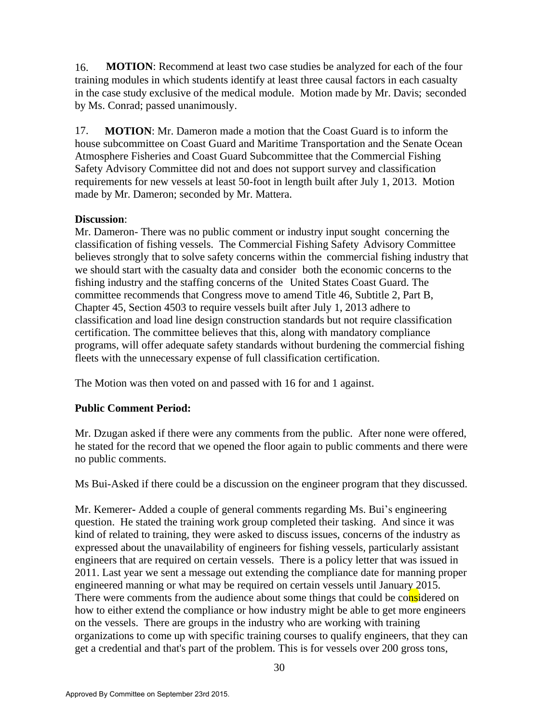16. **MOTION**: Recommend at least two case studies be analyzed for each of the four training modules in which students identify at least three causal factors in each casualty in the case study exclusive of the medical module. Motion made by Mr. Davis; seconded by Ms. Conrad; passed unanimously.

17. **MOTION**: Mr. Dameron made a motion that the Coast Guard is to inform the house subcommittee on Coast Guard and Maritime Transportation and the Senate Ocean Atmosphere Fisheries and Coast Guard Subcommittee that the Commercial Fishing Safety Advisory Committee did not and does not support survey and classification requirements for new vessels at least 50-foot in length built after July 1, 2013. Motion made by Mr. Dameron; seconded by Mr. Mattera.

### **Discussion**:

Mr. Dameron- There was no public comment or industry input sought concerning the classification of fishing vessels. The Commercial Fishing Safety Advisory Committee believes strongly that to solve safety concerns within the commercial fishing industry that we should start with the casualty data and consider both the economic concerns to the fishing industry and the staffing concerns of the United States Coast Guard. The committee recommends that Congress move to amend Title 46, Subtitle 2, Part B, Chapter 45, Section 4503 to require vessels built after July 1, 2013 adhere to classification and load line design construction standards but not require classification certification. The committee believes that this, along with mandatory compliance programs, will offer adequate safety standards without burdening the commercial fishing fleets with the unnecessary expense of full classification certification.

The Motion was then voted on and passed with 16 for and 1 against.

## **Public Comment Period:**

Mr. Dzugan asked if there were any comments from the public. After none were offered, he stated for the record that we opened the floor again to public comments and there were no public comments.

Ms Bui-Asked if there could be a discussion on the engineer program that they discussed.

Mr. Kemerer**-** Added a couple of general comments regarding Ms. Bui's engineering question. He stated the training work group completed their tasking. And since it was kind of related to training, they were asked to discuss issues, concerns of the industry as expressed about the unavailability of engineers for fishing vessels, particularly assistant engineers that are required on certain vessels. There is a policy letter that was issued in 2011. Last year we sent a message out extending the compliance date for manning proper engineered manning or what may be required on certain vessels until January 2015. There were comments from the audience about some things that could be considered on how to either extend the compliance or how industry might be able to get more engineers on the vessels. There are groups in the industry who are working with training organizations to come up with specific training courses to qualify engineers, that they can get a credential and that's part of the problem. This is for vessels over 200 gross tons,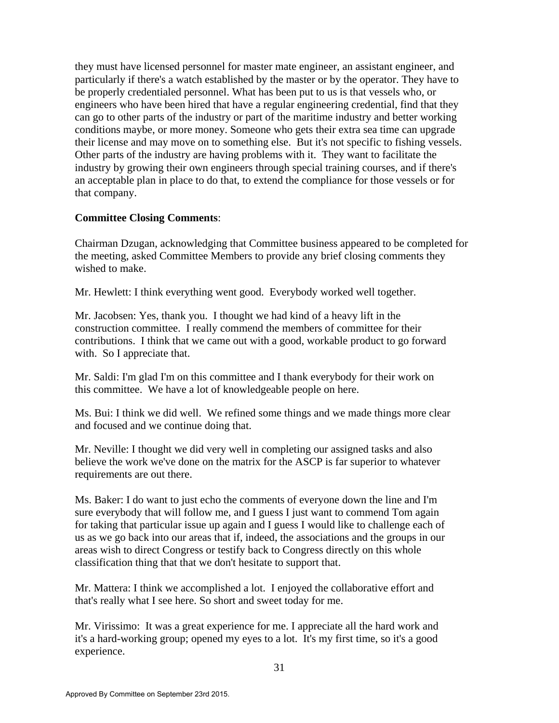they must have licensed personnel for master mate engineer, an assistant engineer, and particularly if there's a watch established by the master or by the operator. They have to be properly credentialed personnel. What has been put to us is that vessels who, or engineers who have been hired that have a regular engineering credential, find that they can go to other parts of the industry or part of the maritime industry and better working conditions maybe, or more money. Someone who gets their extra sea time can upgrade their license and may move on to something else. But it's not specific to fishing vessels. Other parts of the industry are having problems with it. They want to facilitate the industry by growing their own engineers through special training courses, and if there's an acceptable plan in place to do that, to extend the compliance for those vessels or for that company.

### **Committee Closing Comments**:

Chairman Dzugan, acknowledging that Committee business appeared to be completed for the meeting, asked Committee Members to provide any brief closing comments they wished to make.

Mr. Hewlett: I think everything went good. Everybody worked well together.

Mr. Jacobsen: Yes, thank you. I thought we had kind of a heavy lift in the construction committee. I really commend the members of committee for their contributions. I think that we came out with a good, workable product to go forward with. So I appreciate that.

Mr. Saldi: I'm glad I'm on this committee and I thank everybody for their work on this committee. We have a lot of knowledgeable people on here.

Ms. Bui: I think we did well. We refined some things and we made things more clear and focused and we continue doing that.

Mr. Neville: I thought we did very well in completing our assigned tasks and also believe the work we've done on the matrix for the ASCP is far superior to whatever requirements are out there.

Ms. Baker: I do want to just echo the comments of everyone down the line and I'm sure everybody that will follow me, and I guess I just want to commend Tom again for taking that particular issue up again and I guess I would like to challenge each of us as we go back into our areas that if, indeed, the associations and the groups in our areas wish to direct Congress or testify back to Congress directly on this whole classification thing that that we don't hesitate to support that.

Mr. Mattera: I think we accomplished a lot. I enjoyed the collaborative effort and that's really what I see here. So short and sweet today for me.

Mr. Virissimo: It was a great experience for me. I appreciate all the hard work and it's a hard-working group; opened my eyes to a lot. It's my first time, so it's a good experience.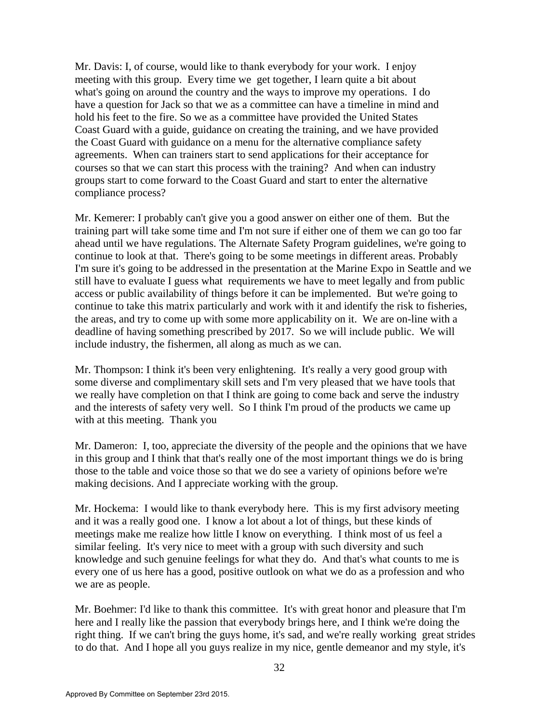Mr. Davis: I, of course, would like to thank everybody for your work. I enjoy meeting with this group. Every time we get together, I learn quite a bit about what's going on around the country and the ways to improve my operations. I do have a question for Jack so that we as a committee can have a timeline in mind and hold his feet to the fire. So we as a committee have provided the United States Coast Guard with a guide, guidance on creating the training, and we have provided the Coast Guard with guidance on a menu for the alternative compliance safety agreements. When can trainers start to send applications for their acceptance for courses so that we can start this process with the training? And when can industry groups start to come forward to the Coast Guard and start to enter the alternative compliance process?

Mr. Kemerer: I probably can't give you a good answer on either one of them. But the training part will take some time and I'm not sure if either one of them we can go too far ahead until we have regulations. The Alternate Safety Program guidelines, we're going to continue to look at that. There's going to be some meetings in different areas. Probably I'm sure it's going to be addressed in the presentation at the Marine Expo in Seattle and we still have to evaluate I guess what requirements we have to meet legally and from public access or public availability of things before it can be implemented. But we're going to continue to take this matrix particularly and work with it and identify the risk to fisheries, the areas, and try to come up with some more applicability on it. We are on-line with a deadline of having something prescribed by 2017. So we will include public. We will include industry, the fishermen, all along as much as we can.

Mr. Thompson: I think it's been very enlightening. It's really a very good group with some diverse and complimentary skill sets and I'm very pleased that we have tools that we really have completion on that I think are going to come back and serve the industry and the interests of safety very well. So I think I'm proud of the products we came up with at this meeting. Thank you

Mr. Dameron: I, too, appreciate the diversity of the people and the opinions that we have in this group and I think that that's really one of the most important things we do is bring those to the table and voice those so that we do see a variety of opinions before we're making decisions. And I appreciate working with the group.

Mr. Hockema: I would like to thank everybody here. This is my first advisory meeting and it was a really good one. I know a lot about a lot of things, but these kinds of meetings make me realize how little I know on everything. I think most of us feel a similar feeling. It's very nice to meet with a group with such diversity and such knowledge and such genuine feelings for what they do. And that's what counts to me is every one of us here has a good, positive outlook on what we do as a profession and who we are as people.

Mr. Boehmer: I'd like to thank this committee. It's with great honor and pleasure that I'm here and I really like the passion that everybody brings here, and I think we're doing the right thing. If we can't bring the guys home, it's sad, and we're really working great strides to do that. And I hope all you guys realize in my nice, gentle demeanor and my style, it's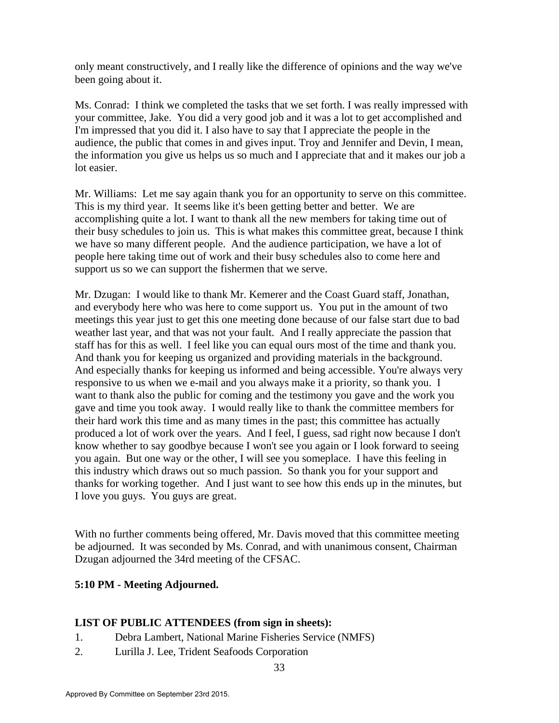only meant constructively, and I really like the difference of opinions and the way we've been going about it.

Ms. Conrad: I think we completed the tasks that we set forth. I was really impressed with your committee, Jake. You did a very good job and it was a lot to get accomplished and I'm impressed that you did it. I also have to say that I appreciate the people in the audience, the public that comes in and gives input. Troy and Jennifer and Devin, I mean, the information you give us helps us so much and I appreciate that and it makes our job a lot easier.

Mr. Williams: Let me say again thank you for an opportunity to serve on this committee. This is my third year. It seems like it's been getting better and better. We are accomplishing quite a lot. I want to thank all the new members for taking time out of their busy schedules to join us. This is what makes this committee great, because I think we have so many different people. And the audience participation, we have a lot of people here taking time out of work and their busy schedules also to come here and support us so we can support the fishermen that we serve.

Mr. Dzugan: I would like to thank Mr. Kemerer and the Coast Guard staff, Jonathan, and everybody here who was here to come support us. You put in the amount of two meetings this year just to get this one meeting done because of our false start due to bad weather last year, and that was not your fault. And I really appreciate the passion that staff has for this as well. I feel like you can equal ours most of the time and thank you. And thank you for keeping us organized and providing materials in the background. And especially thanks for keeping us informed and being accessible. You're always very responsive to us when we e-mail and you always make it a priority, so thank you. I want to thank also the public for coming and the testimony you gave and the work you gave and time you took away. I would really like to thank the committee members for their hard work this time and as many times in the past; this committee has actually produced a lot of work over the years. And I feel, I guess, sad right now because I don't know whether to say goodbye because I won't see you again or I look forward to seeing you again. But one way or the other, I will see you someplace. I have this feeling in this industry which draws out so much passion. So thank you for your support and thanks for working together. And I just want to see how this ends up in the minutes, but I love you guys. You guys are great.

With no further comments being offered, Mr. Davis moved that this committee meeting be adjourned. It was seconded by Ms. Conrad, and with unanimous consent, Chairman Dzugan adjourned the 34rd meeting of the CFSAC.

## **5:10 PM - Meeting Adjourned.**

## **LIST OF PUBLIC ATTENDEES (from sign in sheets):**

- 1. Debra Lambert, National Marine Fisheries Service (NMFS)
- 2. Lurilla J. Lee, Trident Seafoods Corporation